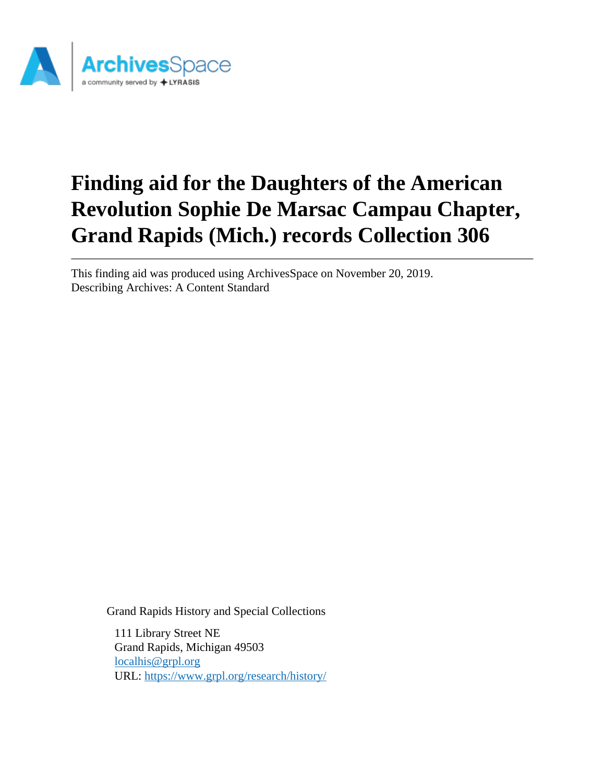

# **Finding aid for the Daughters of the American Revolution Sophie De Marsac Campau Chapter, Grand Rapids (Mich.) records Collection 306**

This finding aid was produced using ArchivesSpace on November 20, 2019. Describing Archives: A Content Standard

Grand Rapids History and Special Collections

111 Library Street NE Grand Rapids, Michigan 49503 [localhis@grpl.org](mailto:localhis@grpl.org) URL:<https://www.grpl.org/research/history/>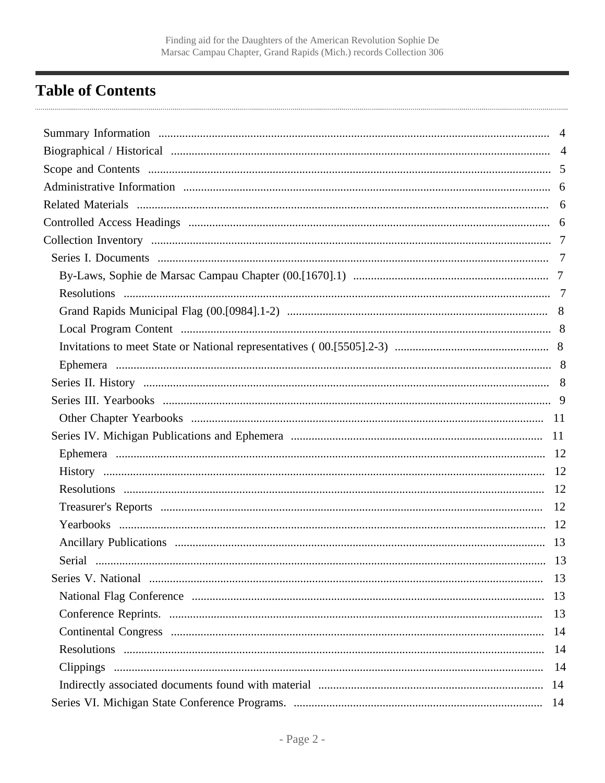# <span id="page-1-0"></span>**Table of Contents**

| Serial | 13 |
|--------|----|
|        |    |
|        |    |
|        |    |
|        |    |
|        |    |
|        |    |
|        |    |
|        |    |
|        |    |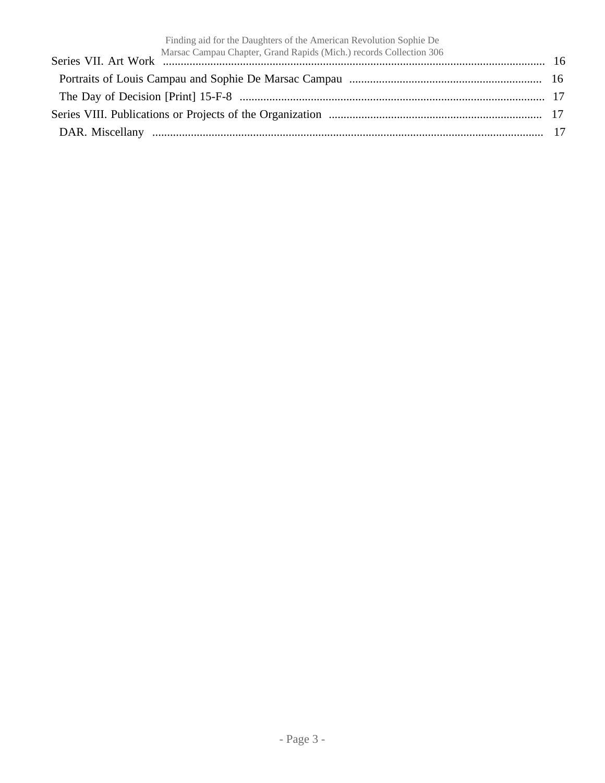| Finding aid for the Daughters of the American Revolution Sophie De             |  |
|--------------------------------------------------------------------------------|--|
| Marsac Campau Chapter, Grand Rapids (Mich.) records Collection 306<br>16<br>16 |  |
|                                                                                |  |
|                                                                                |  |
|                                                                                |  |
|                                                                                |  |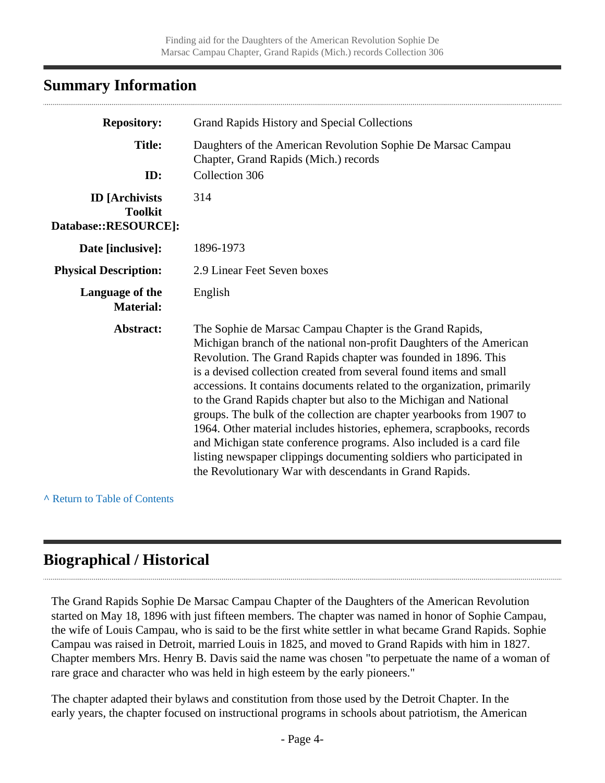## <span id="page-3-0"></span>**Summary Information**

| <b>Repository:</b>                                              | Grand Rapids History and Special Collections                                                                                                                                                                                                                                                                                                                                                                                                                                                                                                                                                                                                                                                                                                                                            |
|-----------------------------------------------------------------|-----------------------------------------------------------------------------------------------------------------------------------------------------------------------------------------------------------------------------------------------------------------------------------------------------------------------------------------------------------------------------------------------------------------------------------------------------------------------------------------------------------------------------------------------------------------------------------------------------------------------------------------------------------------------------------------------------------------------------------------------------------------------------------------|
| <b>Title:</b><br>ID:                                            | Daughters of the American Revolution Sophie De Marsac Campau<br>Chapter, Grand Rapids (Mich.) records<br>Collection 306                                                                                                                                                                                                                                                                                                                                                                                                                                                                                                                                                                                                                                                                 |
|                                                                 |                                                                                                                                                                                                                                                                                                                                                                                                                                                                                                                                                                                                                                                                                                                                                                                         |
| <b>ID</b> [Archivists<br><b>Toolkit</b><br>Database::RESOURCE]: | 314                                                                                                                                                                                                                                                                                                                                                                                                                                                                                                                                                                                                                                                                                                                                                                                     |
| Date [inclusive]:                                               | 1896-1973                                                                                                                                                                                                                                                                                                                                                                                                                                                                                                                                                                                                                                                                                                                                                                               |
| <b>Physical Description:</b>                                    | 2.9 Linear Feet Seven boxes                                                                                                                                                                                                                                                                                                                                                                                                                                                                                                                                                                                                                                                                                                                                                             |
| Language of the<br><b>Material:</b>                             | English                                                                                                                                                                                                                                                                                                                                                                                                                                                                                                                                                                                                                                                                                                                                                                                 |
| Abstract:                                                       | The Sophie de Marsac Campau Chapter is the Grand Rapids,<br>Michigan branch of the national non-profit Daughters of the American<br>Revolution. The Grand Rapids chapter was founded in 1896. This<br>is a devised collection created from several found items and small<br>accessions. It contains documents related to the organization, primarily<br>to the Grand Rapids chapter but also to the Michigan and National<br>groups. The bulk of the collection are chapter yearbooks from 1907 to<br>1964. Other material includes histories, ephemera, scrapbooks, records<br>and Michigan state conference programs. Also included is a card file<br>listing newspaper clippings documenting soldiers who participated in<br>the Revolutionary War with descendants in Grand Rapids. |

**^** [Return to Table of Contents](#page-1-0)

# <span id="page-3-1"></span>**Biographical / Historical**

The Grand Rapids Sophie De Marsac Campau Chapter of the Daughters of the American Revolution started on May 18, 1896 with just fifteen members. The chapter was named in honor of Sophie Campau, the wife of Louis Campau, who is said to be the first white settler in what became Grand Rapids. Sophie Campau was raised in Detroit, married Louis in 1825, and moved to Grand Rapids with him in 1827. Chapter members Mrs. Henry B. Davis said the name was chosen "to perpetuate the name of a woman of rare grace and character who was held in high esteem by the early pioneers."

The chapter adapted their bylaws and constitution from those used by the Detroit Chapter. In the early years, the chapter focused on instructional programs in schools about patriotism, the American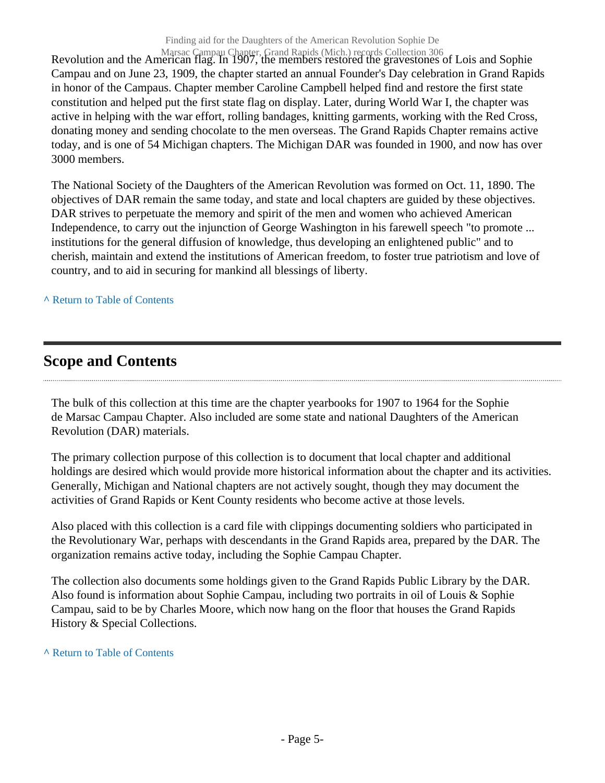Marsac Campau Chapter, Grand Rapids (Mich.) records Collection 306<br>Revolution and the American flag. In 1907, the members restored the gravestones of Lois and Sophie Campau and on June 23, 1909, the chapter started an annual Founder's Day celebration in Grand Rapids in honor of the Campaus. Chapter member Caroline Campbell helped find and restore the first state constitution and helped put the first state flag on display. Later, during World War I, the chapter was active in helping with the war effort, rolling bandages, knitting garments, working with the Red Cross, donating money and sending chocolate to the men overseas. The Grand Rapids Chapter remains active today, and is one of 54 Michigan chapters. The Michigan DAR was founded in 1900, and now has over 3000 members.

The National Society of the Daughters of the American Revolution was formed on Oct. 11, 1890. The objectives of DAR remain the same today, and state and local chapters are guided by these objectives. DAR strives to perpetuate the memory and spirit of the men and women who achieved American Independence, to carry out the injunction of George Washington in his farewell speech "to promote ... institutions for the general diffusion of knowledge, thus developing an enlightened public" and to cherish, maintain and extend the institutions of American freedom, to foster true patriotism and love of country, and to aid in securing for mankind all blessings of liberty.

#### **^** [Return to Table of Contents](#page-1-0)

# <span id="page-4-0"></span>**Scope and Contents**

The bulk of this collection at this time are the chapter yearbooks for 1907 to 1964 for the Sophie de Marsac Campau Chapter. Also included are some state and national Daughters of the American Revolution (DAR) materials.

The primary collection purpose of this collection is to document that local chapter and additional holdings are desired which would provide more historical information about the chapter and its activities. Generally, Michigan and National chapters are not actively sought, though they may document the activities of Grand Rapids or Kent County residents who become active at those levels.

Also placed with this collection is a card file with clippings documenting soldiers who participated in the Revolutionary War, perhaps with descendants in the Grand Rapids area, prepared by the DAR. The organization remains active today, including the Sophie Campau Chapter.

The collection also documents some holdings given to the Grand Rapids Public Library by the DAR. Also found is information about Sophie Campau, including two portraits in oil of Louis & Sophie Campau, said to be by Charles Moore, which now hang on the floor that houses the Grand Rapids History & Special Collections.

#### **^** [Return to Table of Contents](#page-1-0)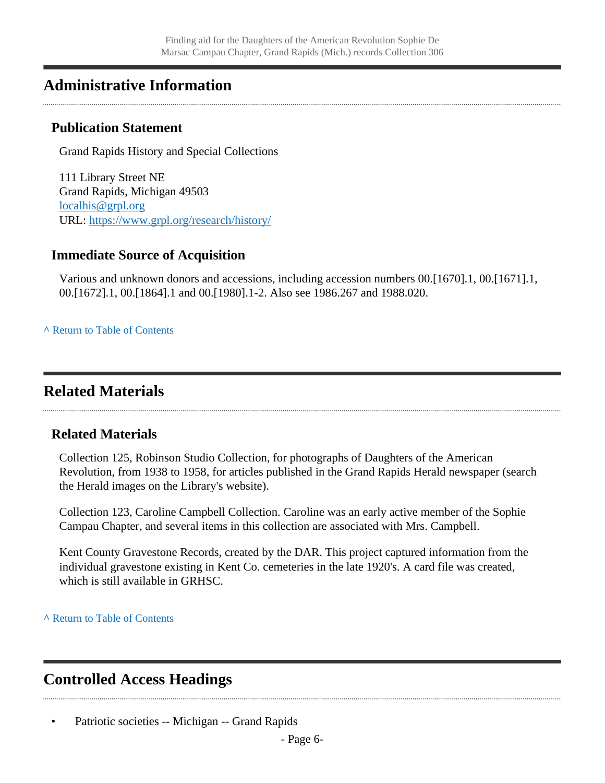# <span id="page-5-0"></span>**Administrative Information**

### **Publication Statement**

Grand Rapids History and Special Collections

111 Library Street NE Grand Rapids, Michigan 49503 [localhis@grpl.org](mailto:localhis@grpl.org) URL:<https://www.grpl.org/research/history/>

### **Immediate Source of Acquisition**

Various and unknown donors and accessions, including accession numbers 00.[1670].1, 00.[1671].1, 00.[1672].1, 00.[1864].1 and 00.[1980].1-2. Also see 1986.267 and 1988.020.

**^** [Return to Table of Contents](#page-1-0)

# <span id="page-5-1"></span>**Related Materials**

### **Related Materials**

Collection 125, Robinson Studio Collection, for photographs of Daughters of the American Revolution, from 1938 to 1958, for articles published in the Grand Rapids Herald newspaper (search the Herald images on the Library's website).

Collection 123, Caroline Campbell Collection. Caroline was an early active member of the Sophie Campau Chapter, and several items in this collection are associated with Mrs. Campbell.

Kent County Gravestone Records, created by the DAR. This project captured information from the individual gravestone existing in Kent Co. cemeteries in the late 1920's. A card file was created, which is still available in GRHSC.

**^** [Return to Table of Contents](#page-1-0)

# <span id="page-5-2"></span>**Controlled Access Headings**

Patriotic societies -- Michigan -- Grand Rapids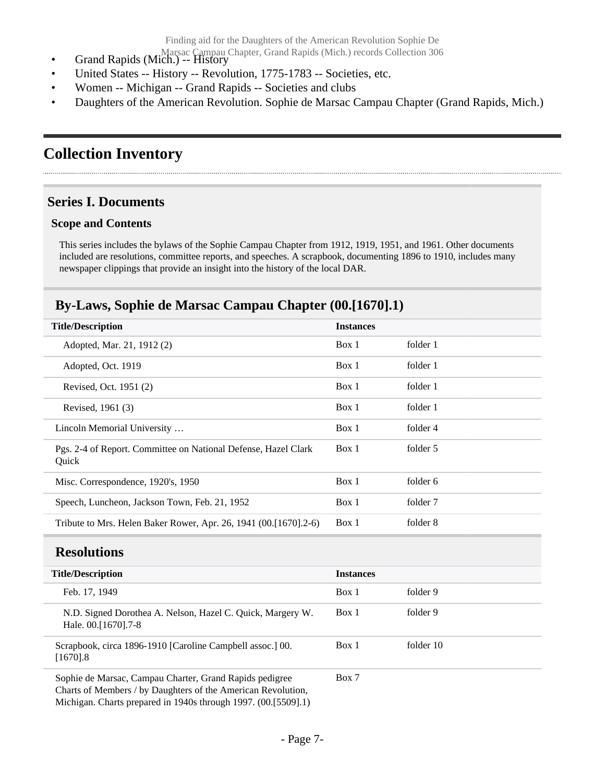- Grand Rapids (Mich.) -- History<br>
Grand Rapids (Mich.) -- History
- United States -- History -- Revolution, 1775-1783 -- Societies, etc.
- Women -- Michigan -- Grand Rapids -- Societies and clubs
- Daughters of the American Revolution. Sophie de Marsac Campau Chapter (Grand Rapids, Mich.)

# <span id="page-6-0"></span>**Collection Inventory**

### <span id="page-6-1"></span>**Series I. Documents**

#### **Scope and Contents**

This series includes the bylaws of the Sophie Campau Chapter from 1912, 1919, 1951, and 1961. Other documents included are resolutions, committee reports, and speeches. A scrapbook, documenting 1896 to 1910, includes many newspaper clippings that provide an insight into the history of the local DAR.

### <span id="page-6-2"></span>**By-Laws, Sophie de Marsac Campau Chapter (00.[1670].1)**

| <b>Title/Description</b>                                                | <b>Instances</b> |          |
|-------------------------------------------------------------------------|------------------|----------|
| Adopted, Mar. 21, 1912 (2)                                              | Box 1            | folder 1 |
| Adopted, Oct. 1919                                                      | Box 1            | folder 1 |
| Revised, Oct. 1951 (2)                                                  | Box 1            | folder 1 |
| Revised, 1961 (3)                                                       | Box 1            | folder 1 |
| Lincoln Memorial University                                             | Box 1            | folder 4 |
| Pgs. 2-4 of Report. Committee on National Defense, Hazel Clark<br>Ouick | Box 1            | folder 5 |
| Misc. Correspondence, 1920's, 1950                                      | Box 1            | folder 6 |
| Speech, Luncheon, Jackson Town, Feb. 21, 1952                           | Box 1            | folder 7 |
| Tribute to Mrs. Helen Baker Rower, Apr. 26, 1941 (00.[1670].2-6)        | Box 1            | folder 8 |
|                                                                         |                  |          |

#### <span id="page-6-3"></span>**Resolutions**

| <b>Title/Description</b>                                                            | <b>Instances</b> |           |
|-------------------------------------------------------------------------------------|------------------|-----------|
| Feb. 17, 1949                                                                       | Box 1            | folder 9  |
| N.D. Signed Dorothea A. Nelson, Hazel C. Quick, Margery W.<br>Hale. 00. [1670]. 7-8 | Box 1            | folder 9  |
| Scrapbook, circa 1896-1910 [Caroline Campbell assoc.] 00.<br>$[1670]$ .8            | Box 1            | folder 10 |
| Sophie de Marsac, Campau Charter, Grand Rapids pedigree                             | Box 7            |           |

Charts of Members / by Daughters of the American Revolution, Michigan. Charts prepared in 1940s through 1997. (00.[5509].1)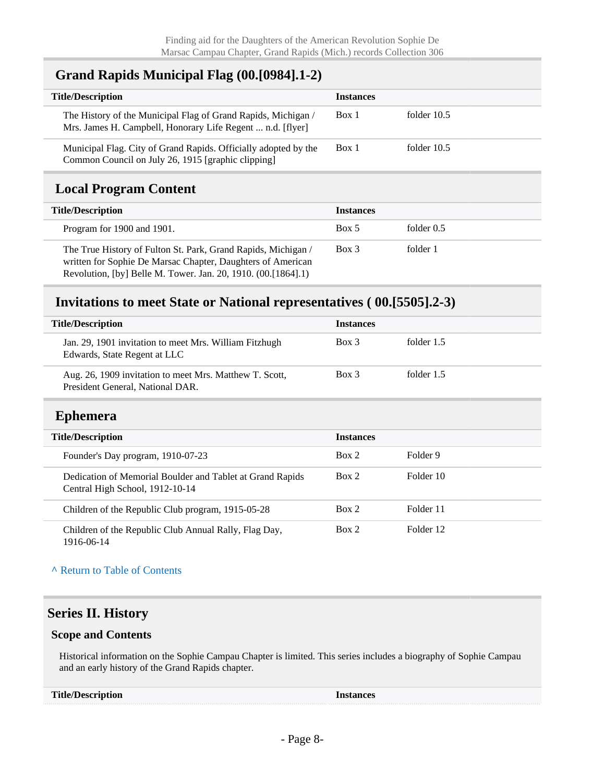### <span id="page-7-0"></span>**Grand Rapids Municipal Flag (00.[0984].1-2)**

| <b>Title/Description</b>                                                                                                    | <b>Instances</b> |             |
|-----------------------------------------------------------------------------------------------------------------------------|------------------|-------------|
| The History of the Municipal Flag of Grand Rapids, Michigan /<br>Mrs. James H. Campbell, Honorary Life Regent  n.d. [flyer] | Box 1            | folder 10.5 |
| Municipal Flag. City of Grand Rapids. Officially adopted by the<br>Common Council on July 26, 1915 [graphic clipping]       | Box 1            | folder 10.5 |

# <span id="page-7-1"></span>**Local Program Content**

| <b>Title/Description</b>                                                                                                                                                                        | <b>Instances</b> |              |
|-------------------------------------------------------------------------------------------------------------------------------------------------------------------------------------------------|------------------|--------------|
| Program for 1900 and 1901.                                                                                                                                                                      | Box 5            | folder $0.5$ |
| The True History of Fulton St. Park, Grand Rapids, Michigan /<br>written for Sophie De Marsac Chapter, Daughters of American<br>Revolution, [by] Belle M. Tower. Jan. 20, 1910. (00. [1864]. 1) | Box 3            | folder 1     |

### <span id="page-7-2"></span>**Invitations to meet State or National representatives ( 00.[5505].2-3)**

<span id="page-7-3"></span>

| <b>Title/Description</b>                                                                     | <b>Instances</b> |            |
|----------------------------------------------------------------------------------------------|------------------|------------|
| Jan. 29, 1901 invitation to meet Mrs. William Fitzhugh<br>Edwards, State Regent at LLC       | Box 3            | folder 1.5 |
| Aug. 26, 1909 invitation to meet Mrs. Matthew T. Scott,<br>President General, National DAR.  | $Box$ 3          | folder 1.5 |
| <b>Ephemera</b>                                                                              |                  |            |
| <b>Title/Description</b>                                                                     | <b>Instances</b> |            |
| Founder's Day program, 1910-07-23                                                            | Box 2            | Folder 9   |
| Dedication of Memorial Boulder and Tablet at Grand Rapids<br>Central High School, 1912-10-14 | Box 2            | Folder 10  |
| Children of the Republic Club program, 1915-05-28                                            | Box 2            | Folder 11  |
| Children of the Republic Club Annual Rally, Flag Day,<br>1916-06-14                          | Box 2            | Folder 12  |

**^** [Return to Table of Contents](#page-1-0)

### <span id="page-7-4"></span>**Series II. History**

#### **Scope and Contents**

Historical information on the Sophie Campau Chapter is limited. This series includes a biography of Sophie Campau and an early history of the Grand Rapids chapter.

| <b>Title/Description</b> | <b>Instances</b> |
|--------------------------|------------------|
|--------------------------|------------------|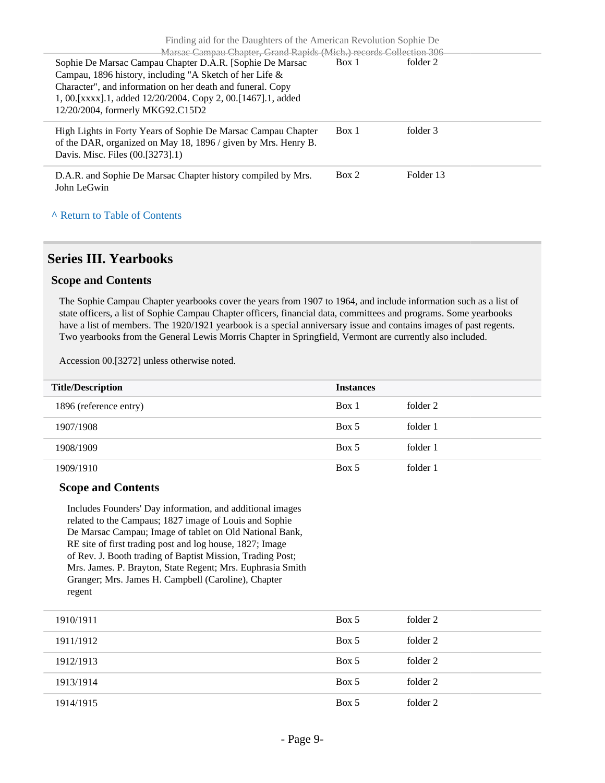| Finding aid for the Daughters of the American Revolution Sophie De |       |           |  |
|--------------------------------------------------------------------|-------|-----------|--|
| Marsac Campau Chapter, Grand Rapids (Mich.) records Collection 306 |       |           |  |
| Sophie De Marsac Campau Chapter D.A.R. [Sophie De Marsac           | Box 1 | folder 2  |  |
| Campau, 1896 history, including "A Sketch of her Life &            |       |           |  |
| Character", and information on her death and funeral. Copy         |       |           |  |
| 1, 00. [xxxx]. 1, added 12/20/2004. Copy 2, 00. [1467]. 1, added   |       |           |  |
| 12/20/2004, formerly MKG92.C15D2                                   |       |           |  |
|                                                                    |       |           |  |
| High Lights in Forty Years of Sophie De Marsac Campau Chapter      | Box 1 | folder 3  |  |
| of the DAR, organized on May 18, 1896 / given by Mrs. Henry B.     |       |           |  |
| Davis. Misc. Files (00.[3273].1)                                   |       |           |  |
|                                                                    |       |           |  |
| D.A.R. and Sophie De Marsac Chapter history compiled by Mrs.       | Box 2 | Folder 13 |  |
| John LeGwin                                                        |       |           |  |
|                                                                    |       |           |  |
|                                                                    |       |           |  |
| A Return to Table of Contents                                      |       |           |  |

#### <span id="page-8-0"></span>**Series III. Yearbooks**

#### **Scope and Contents**

The Sophie Campau Chapter yearbooks cover the years from 1907 to 1964, and include information such as a list of state officers, a list of Sophie Campau Chapter officers, financial data, committees and programs. Some yearbooks have a list of members. The 1920/1921 yearbook is a special anniversary issue and contains images of past regents. Two yearbooks from the General Lewis Morris Chapter in Springfield, Vermont are currently also included.

Accession 00.[3272] unless otherwise noted.

| <b>Title/Description</b> | <b>Instances</b> |          |
|--------------------------|------------------|----------|
| 1896 (reference entry)   | Box 1            | folder 2 |
| 1907/1908                | Box 5            | folder 1 |
| 1908/1909                | Box 5            | folder 1 |
| 1909/1910                | Box 5            | folder 1 |

#### **Scope and Contents**

Includes Founders' Day information, and additional images related to the Campaus; 1827 image of Louis and Sophie De Marsac Campau; Image of tablet on Old National Bank, RE site of first trading post and log house, 1827; Image of Rev. J. Booth trading of Baptist Mission, Trading Post; Mrs. James. P. Brayton, State Regent; Mrs. Euphrasia Smith Granger; Mrs. James H. Campbell (Caroline), Chapter regent

| 1910/1911 | Box 5 | folder 2 |
|-----------|-------|----------|
| 1911/1912 | Box 5 | folder 2 |
| 1912/1913 | Box 5 | folder 2 |
| 1913/1914 | Box 5 | folder 2 |
| 1914/1915 | Box 5 | folder 2 |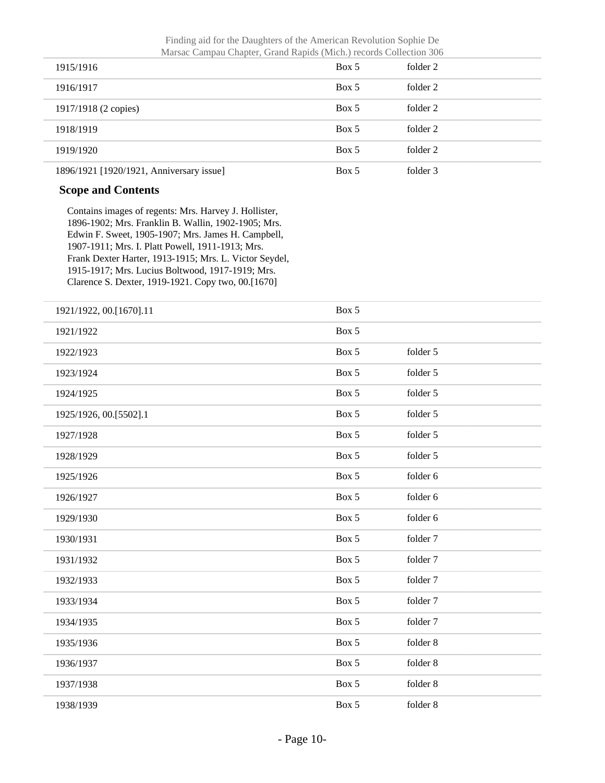Finding aid for the Daughters of the American Revolution Sophie De Marsac Campau Chapter, Grand Rapids (Mich.) records Collection 306

| Transac Campau Chapter, Orang Rapius (Triten.) records Concentri 500 |       |          |  |
|----------------------------------------------------------------------|-------|----------|--|
| 1915/1916                                                            | Box 5 | folder 2 |  |
| 1916/1917                                                            | Box 5 | folder 2 |  |
| 1917/1918 (2 copies)                                                 | Box 5 | folder 2 |  |
| 1918/1919                                                            | Box 5 | folder 2 |  |
| 1919/1920                                                            | Box 5 | folder 2 |  |
| 1896/1921 [1920/1921, Anniversary issue]                             | Box 5 | folder 3 |  |

#### **Scope and Contents**

Contains images of regents: Mrs. Harvey J. Hollister, 1896-1902; Mrs. Franklin B. Wallin, 1902-1905; Mrs. Edwin F. Sweet, 1905-1907; Mrs. James H. Campbell, 1907-1911; Mrs. I. Platt Powell, 1911-1913; Mrs. Frank Dexter Harter, 1913-1915; Mrs. L. Victor Seydel, 1915-1917; Mrs. Lucius Boltwood, 1917-1919; Mrs. Clarence S. Dexter, 1919-1921. Copy two, 00.[1670]

| 1921/1922, 00.[1670].11 | Box 5 |          |
|-------------------------|-------|----------|
| 1921/1922               | Box 5 |          |
| 1922/1923               | Box 5 | folder 5 |
| 1923/1924               | Box 5 | folder 5 |
| 1924/1925               | Box 5 | folder 5 |
| 1925/1926, 00.[5502].1  | Box 5 | folder 5 |
| 1927/1928               | Box 5 | folder 5 |
| 1928/1929               | Box 5 | folder 5 |
| 1925/1926               | Box 5 | folder 6 |
| 1926/1927               | Box 5 | folder 6 |
| 1929/1930               | Box 5 | folder 6 |
| 1930/1931               | Box 5 | folder 7 |
| 1931/1932               | Box 5 | folder 7 |
| 1932/1933               | Box 5 | folder 7 |
| 1933/1934               | Box 5 | folder 7 |
| 1934/1935               | Box 5 | folder 7 |
| 1935/1936               | Box 5 | folder 8 |
| 1936/1937               | Box 5 | folder 8 |
| 1937/1938               | Box 5 | folder 8 |
| 1938/1939               | Box 5 | folder 8 |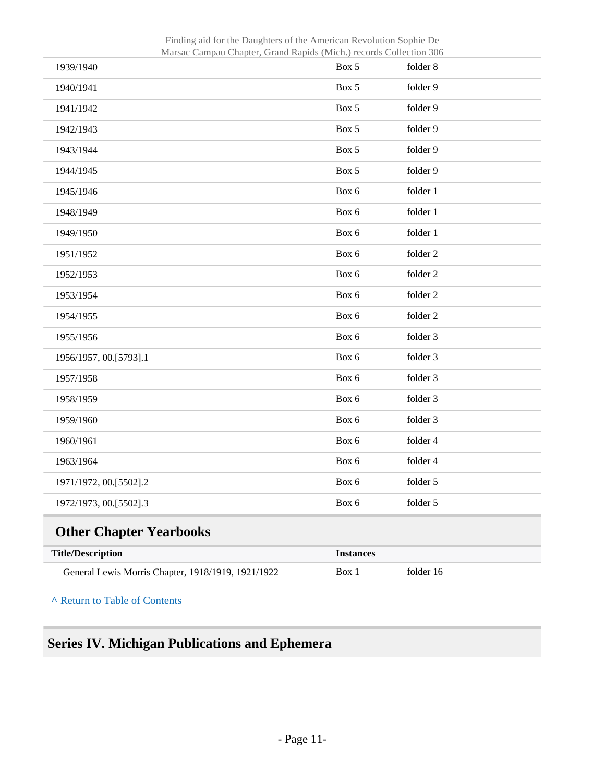| <b>Title/Description</b><br>General Lewis Morris Chapter, 1918/1919, 1921/1922 | <b>Instances</b><br>Box 1 | folder 16            |
|--------------------------------------------------------------------------------|---------------------------|----------------------|
| <b>Other Chapter Yearbooks</b>                                                 |                           |                      |
| 1972/1973, 00.[5502].3                                                         | Box 6                     | folder 5             |
| 1971/1972, 00.[5502].2                                                         | Box 6                     | folder 5             |
| 1963/1964                                                                      | Box 6                     | folder 4             |
| 1960/1961                                                                      | Box 6                     | folder 4             |
| 1959/1960                                                                      | Box 6                     | folder 3             |
| 1958/1959                                                                      | Box 6                     | folder 3             |
| 1957/1958                                                                      | Box 6                     | folder 3             |
| 1956/1957, 00.[5793].1                                                         | Box 6                     | folder 3             |
| 1955/1956                                                                      | Box 6                     | folder 3             |
| 1954/1955                                                                      | Box 6                     | folder 2             |
| 1953/1954                                                                      | Box 6                     | folder 2             |
| 1952/1953                                                                      | Box 6                     | folder 2             |
| 1951/1952                                                                      | Box 6                     | folder 2             |
| 1949/1950                                                                      | Box 6                     | folder 1             |
| 1948/1949                                                                      | Box 6                     | folder 1             |
| 1945/1946                                                                      | Box 6                     | folder 1             |
| 1944/1945                                                                      | Box 5                     | folder 9             |
| 1943/1944                                                                      | Box 5                     | folder 9             |
| 1941/1942<br>1942/1943                                                         | Box 5                     | folder 9             |
| 1940/1941                                                                      | Box 5<br>Box 5            | folder 9<br>folder 9 |
| 1939/1940                                                                      | Box 5                     | folder 8             |

Finding aid for the Daughters of the American Revolution Sophie De Marsac Campau Chapter, Grand Rapids (Mich.) records Collection 306

<span id="page-10-0"></span>**^** [Return to Table of Contents](#page-1-0)

# <span id="page-10-1"></span>**Series IV. Michigan Publications and Ephemera**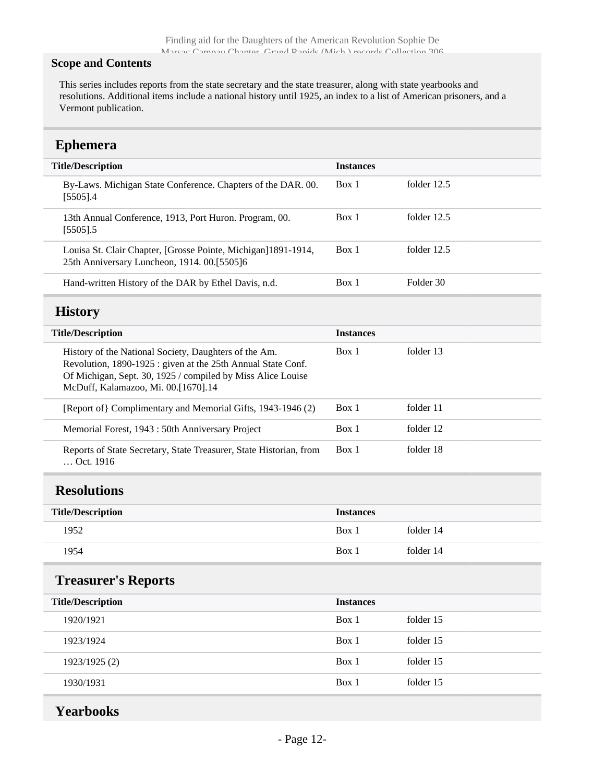#### **Scope and Contents**

This series includes reports from the state secretary and the state treasurer, along with state yearbooks and resolutions. Additional items include a national history until 1925, an index to a list of American prisoners, and a Vermont publication.

### <span id="page-11-0"></span>**Ephemera**

<span id="page-11-1"></span>

| <b>Title/Description</b>                                                                                                                                                                                                    | <b>Instances</b> |             |
|-----------------------------------------------------------------------------------------------------------------------------------------------------------------------------------------------------------------------------|------------------|-------------|
| By-Laws. Michigan State Conference. Chapters of the DAR. 00.<br>$[5505]$ .4                                                                                                                                                 | Box 1            | folder 12.5 |
| 13th Annual Conference, 1913, Port Huron. Program, 00.<br>$[5505]$ .5                                                                                                                                                       | Box 1            | folder 12.5 |
| Louisa St. Clair Chapter, [Grosse Pointe, Michigan]1891-1914,<br>25th Anniversary Luncheon, 1914. 00.[5505]6                                                                                                                | Box 1            | folder 12.5 |
| Hand-written History of the DAR by Ethel Davis, n.d.                                                                                                                                                                        | Box 1            | Folder 30   |
| <b>History</b>                                                                                                                                                                                                              |                  |             |
| <b>Title/Description</b>                                                                                                                                                                                                    | <b>Instances</b> |             |
| History of the National Society, Daughters of the Am.<br>Revolution, 1890-1925 : given at the 25th Annual State Conf.<br>Of Michigan, Sept. 30, 1925 / compiled by Miss Alice Louise<br>McDuff, Kalamazoo, Mi. 00.[1670].14 | Box 1            | folder 13   |
| [Report of] Complimentary and Memorial Gifts, 1943-1946 (2)                                                                                                                                                                 | Box 1            | folder 11   |
| Memorial Forest, 1943 : 50th Anniversary Project                                                                                                                                                                            | Box 1            | folder 12   |
| Reports of State Secretary, State Treasurer, State Historian, from<br>Oct. 1916                                                                                                                                             | Box 1            | folder 18   |
| <b>Resolutions</b>                                                                                                                                                                                                          |                  |             |
| <b>Title/Description</b>                                                                                                                                                                                                    | <b>Instances</b> |             |
| 1952                                                                                                                                                                                                                        | Box 1            | folder 14   |
| 1954                                                                                                                                                                                                                        | Box 1            | folder 14   |
| <b>Treasurer's Reports</b>                                                                                                                                                                                                  |                  |             |
| <b>Title/Description</b>                                                                                                                                                                                                    | <b>Instances</b> |             |
| 1920/1921                                                                                                                                                                                                                   | Box 1            | folder 15   |
| 1923/1924                                                                                                                                                                                                                   | Box 1            | folder 15   |
| 1923/1925 (2)                                                                                                                                                                                                               | Box 1            | folder 15   |
| 1930/1931                                                                                                                                                                                                                   | Box $1$          | folder 15   |
|                                                                                                                                                                                                                             |                  |             |

<span id="page-11-4"></span><span id="page-11-3"></span><span id="page-11-2"></span>**Yearbooks**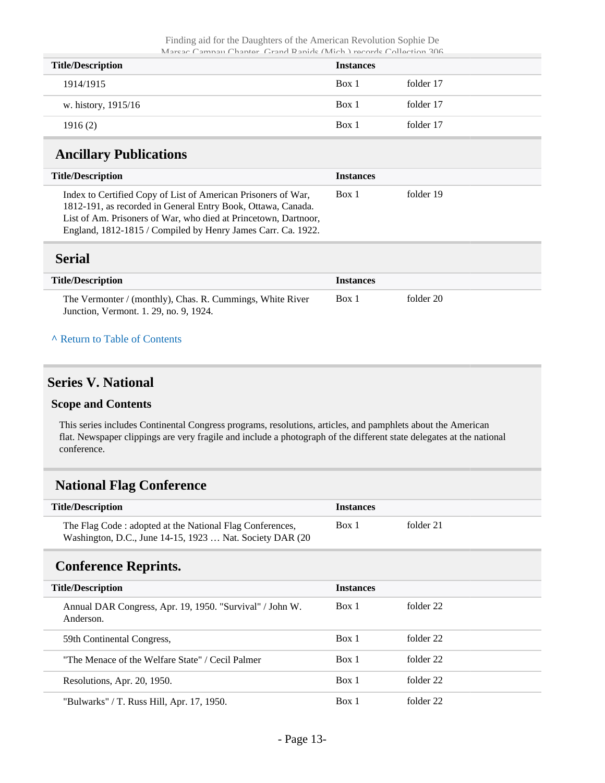| <b>Title/Description</b> | <b>Instances</b> |           |
|--------------------------|------------------|-----------|
| 1914/1915                | Box 1            | folder 17 |
| w. history, 1915/16      | Box 1            | folder 17 |
| 1916(2)                  | Box 1            | folder 17 |

### <span id="page-12-0"></span>**Ancillary Publications**

| <b>Title/Description</b>                                                                                                                                                                                                                                         | <b>Instances</b> |           |
|------------------------------------------------------------------------------------------------------------------------------------------------------------------------------------------------------------------------------------------------------------------|------------------|-----------|
| Index to Certified Copy of List of American Prisoners of War,<br>1812-191, as recorded in General Entry Book, Ottawa, Canada.<br>List of Am. Prisoners of War, who died at Princetown, Dartnoor,<br>England, 1812-1815 / Compiled by Henry James Carr. Ca. 1922. | Box 1            | folder 19 |

#### <span id="page-12-1"></span>**Serial**

| <b>Title/Description</b>                                                                            | <b>Instances</b> |           |
|-----------------------------------------------------------------------------------------------------|------------------|-----------|
| The Vermonter / (monthly), Chas. R. Cummings, White River<br>Junction, Vermont. 1. 29, no. 9, 1924. | Box 1            | folder 20 |

#### **^** [Return to Table of Contents](#page-1-0)

### <span id="page-12-2"></span>**Series V. National**

#### **Scope and Contents**

This series includes Continental Congress programs, resolutions, articles, and pamphlets about the American flat. Newspaper clippings are very fragile and include a photograph of the different state delegates at the national conference.

### <span id="page-12-3"></span>**National Flag Conference**

| <b>Title/Description</b>                                                                                              | <b>Instances</b> |           |
|-----------------------------------------------------------------------------------------------------------------------|------------------|-----------|
| The Flag Code: adopted at the National Flag Conferences,<br>Washington, D.C., June 14-15, 1923  Nat. Society DAR (20) | Box 1            | folder 21 |

### <span id="page-12-4"></span>**Conference Reprints.**

| <b>Title/Description</b>                                              | <b>Instances</b> |           |
|-----------------------------------------------------------------------|------------------|-----------|
| Annual DAR Congress, Apr. 19, 1950. "Survival" / John W.<br>Anderson. | Box 1            | folder 22 |
| 59th Continental Congress,                                            | Box 1            | folder 22 |
| "The Menace of the Welfare State" / Cecil Palmer                      | Box 1            | folder 22 |
| Resolutions, Apr. 20, 1950.                                           | Box 1            | folder 22 |
| "Bulwarks" / T. Russ Hill, Apr. 17, 1950.                             | Box 1            | folder 22 |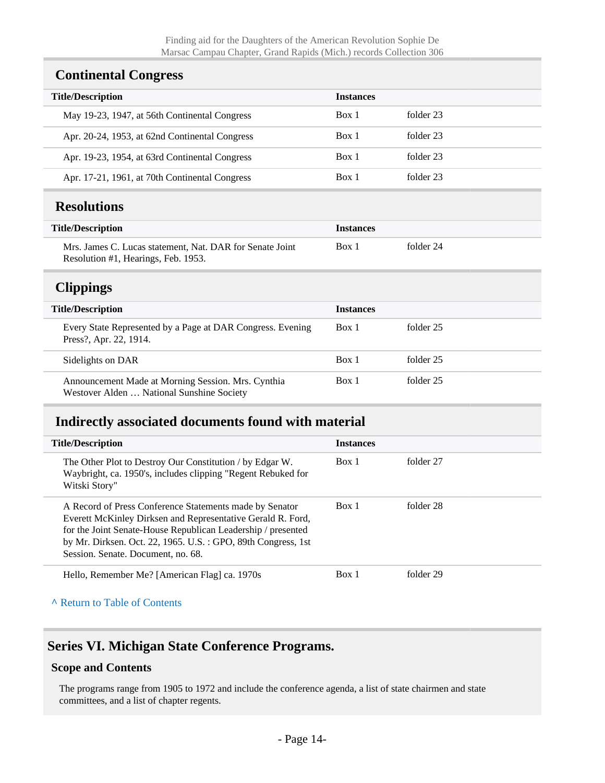### <span id="page-13-0"></span>**Continental Congress**

| <b>Title/Description</b>                       | <b>Instances</b> |           |
|------------------------------------------------|------------------|-----------|
| May 19-23, 1947, at 56th Continental Congress  | Box 1            | folder 23 |
| Apr. 20-24, 1953, at 62nd Continental Congress | Box 1            | folder 23 |
| Apr. 19-23, 1954, at 63rd Continental Congress | Box 1            | folder 23 |
| Apr. 17-21, 1961, at 70th Continental Congress | Box 1            | folder 23 |

### <span id="page-13-1"></span>**Resolutions**

| <b>Title/Description</b>                                                                        | <b>Instances</b> |           |  |
|-------------------------------------------------------------------------------------------------|------------------|-----------|--|
| Mrs. James C. Lucas statement, Nat. DAR for Senate Joint<br>Resolution #1, Hearings, Feb. 1953. | Box 1            | folder 24 |  |

### <span id="page-13-2"></span>**Clippings**

| <b>Title/Description</b>                                                                        | <b>Instances</b> |           |
|-------------------------------------------------------------------------------------------------|------------------|-----------|
| Every State Represented by a Page at DAR Congress. Evening<br>Press?, Apr. 22, 1914.            | Box 1            | folder 25 |
| Sidelights on DAR                                                                               | Box 1            | folder 25 |
| Announcement Made at Morning Session. Mrs. Cynthia<br>Westover Alden  National Sunshine Society | Box 1            | folder 25 |

### <span id="page-13-3"></span>**Indirectly associated documents found with material**

| <b>Title/Description</b>                                                                                                                                                                                                                                                                      | <b>Instances</b> |           |
|-----------------------------------------------------------------------------------------------------------------------------------------------------------------------------------------------------------------------------------------------------------------------------------------------|------------------|-----------|
| The Other Plot to Destroy Our Constitution / by Edgar W.<br>Waybright, ca. 1950's, includes clipping "Regent Rebuked for<br>Witski Story"                                                                                                                                                     | Box 1            | folder 27 |
| A Record of Press Conference Statements made by Senator<br>Everett McKinley Dirksen and Representative Gerald R. Ford,<br>for the Joint Senate-House Republican Leadership / presented<br>by Mr. Dirksen. Oct. 22, 1965. U.S. : GPO, 89th Congress, 1st<br>Session. Senate. Document, no. 68. | Box 1            | folder 28 |
| Hello, Remember Me? [American Flag] ca. 1970s                                                                                                                                                                                                                                                 | Box 1            | folder 29 |

**^** [Return to Table of Contents](#page-1-0)

### <span id="page-13-4"></span>**Series VI. Michigan State Conference Programs.**

#### **Scope and Contents**

The programs range from 1905 to 1972 and include the conference agenda, a list of state chairmen and state committees, and a list of chapter regents.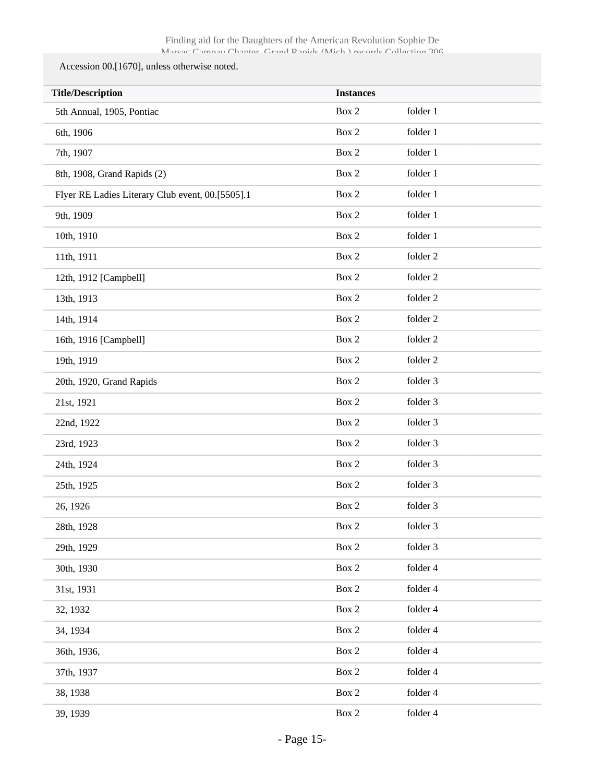#### Accession 00.[1670], unless otherwise noted.

| <b>Title/Description</b>                         | <b>Instances</b> |          |  |
|--------------------------------------------------|------------------|----------|--|
| 5th Annual, 1905, Pontiac                        | Box 2            | folder 1 |  |
| 6th, 1906                                        | Box 2            | folder 1 |  |
| 7th, 1907                                        | Box 2            | folder 1 |  |
| 8th, 1908, Grand Rapids (2)                      | Box 2            | folder 1 |  |
| Flyer RE Ladies Literary Club event, 00.[5505].1 | Box 2            | folder 1 |  |
| 9th, 1909                                        | Box 2            | folder 1 |  |
| 10th, 1910                                       | Box 2            | folder 1 |  |
| 11th, 1911                                       | Box 2            | folder 2 |  |
| 12th, 1912 [Campbell]                            | Box 2            | folder 2 |  |
| 13th, 1913                                       | Box 2            | folder 2 |  |
| 14th, 1914                                       | Box 2            | folder 2 |  |
| 16th, 1916 [Campbell]                            | Box 2            | folder 2 |  |
| 19th, 1919                                       | Box 2            | folder 2 |  |
| 20th, 1920, Grand Rapids                         | Box 2            | folder 3 |  |
| 21st, 1921                                       | Box 2            | folder 3 |  |
| 22nd, 1922                                       | Box 2            | folder 3 |  |
| 23rd, 1923                                       | Box 2            | folder 3 |  |
| 24th, 1924                                       | Box 2            | folder 3 |  |
| 25th, 1925                                       | Box 2            | folder 3 |  |
| 26, 1926                                         | Box 2            | folder 3 |  |
| 28th, 1928                                       | Box 2            | folder 3 |  |
| 29th, 1929                                       | Box 2            | folder 3 |  |
| 30th, 1930                                       | Box 2            | folder 4 |  |
| 31st, 1931                                       | Box 2            | folder 4 |  |
| 32, 1932                                         | Box 2            | folder 4 |  |
| 34, 1934                                         | Box 2            | folder 4 |  |
| 36th, 1936,                                      | Box 2            | folder 4 |  |
| 37th, 1937                                       | Box 2            | folder 4 |  |
| 38, 1938                                         | $\mbox{Box}~2$   | folder 4 |  |
| 39, 1939                                         | $\mbox{Box}~2$   | folder 4 |  |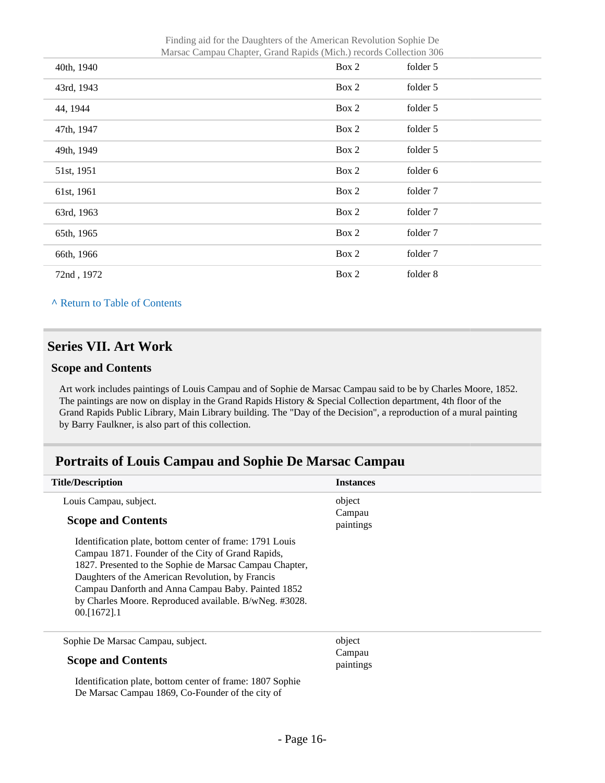Finding aid for the Daughters of the American Revolution Sophie De Marsac Campau Chapter, Grand Rapids (Mich.) records Collection 306

| IVIAISAC CAMpau Chapter, Grand Kapius (IVIICH.) records Conection 500 |       |          |
|-----------------------------------------------------------------------|-------|----------|
| 40th, 1940                                                            | Box 2 | folder 5 |
| 43rd, 1943                                                            | Box 2 | folder 5 |
| 44, 1944                                                              | Box 2 | folder 5 |
| 47th, 1947                                                            | Box 2 | folder 5 |
| 49th, 1949                                                            | Box 2 | folder 5 |
| 51st, 1951                                                            | Box 2 | folder 6 |
| 61st, 1961                                                            | Box 2 | folder 7 |
| 63rd, 1963                                                            | Box 2 | folder 7 |
| 65th, 1965                                                            | Box 2 | folder 7 |
| 66th, 1966                                                            | Box 2 | folder 7 |
| 72nd, 1972                                                            | Box 2 | folder 8 |

**^** [Return to Table of Contents](#page-1-0)

### <span id="page-15-0"></span>**Series VII. Art Work**

#### **Scope and Contents**

Art work includes paintings of Louis Campau and of Sophie de Marsac Campau said to be by Charles Moore, 1852. The paintings are now on display in the Grand Rapids History & Special Collection department, 4th floor of the Grand Rapids Public Library, Main Library building. The "Day of the Decision", a reproduction of a mural painting by Barry Faulkner, is also part of this collection.

### <span id="page-15-1"></span>**Portraits of Louis Campau and Sophie De Marsac Campau**

| <b>Title/Description</b>                                                                                     | <b>Instances</b>    |
|--------------------------------------------------------------------------------------------------------------|---------------------|
| Louis Campau, subject.                                                                                       | object              |
| <b>Scope and Contents</b>                                                                                    | Campau<br>paintings |
| Identification plate, bottom center of frame: 1791 Louis                                                     |                     |
| Campau 1871. Founder of the City of Grand Rapids,<br>1827. Presented to the Sophie de Marsac Campau Chapter, |                     |
| Daughters of the American Revolution, by Francis                                                             |                     |
| Campau Danforth and Anna Campau Baby. Painted 1852                                                           |                     |
| by Charles Moore. Reproduced available. B/wNeg. #3028.                                                       |                     |
| $00.1672$ ].1                                                                                                |                     |
| Sophie De Marsac Campau, subject.                                                                            | object              |
| <b>Scope and Contents</b>                                                                                    | Campau<br>paintings |
| Identification plate, bottom center of frame: 1807 Sophie                                                    |                     |
| De Marsac Campau 1869, Co-Founder of the city of                                                             |                     |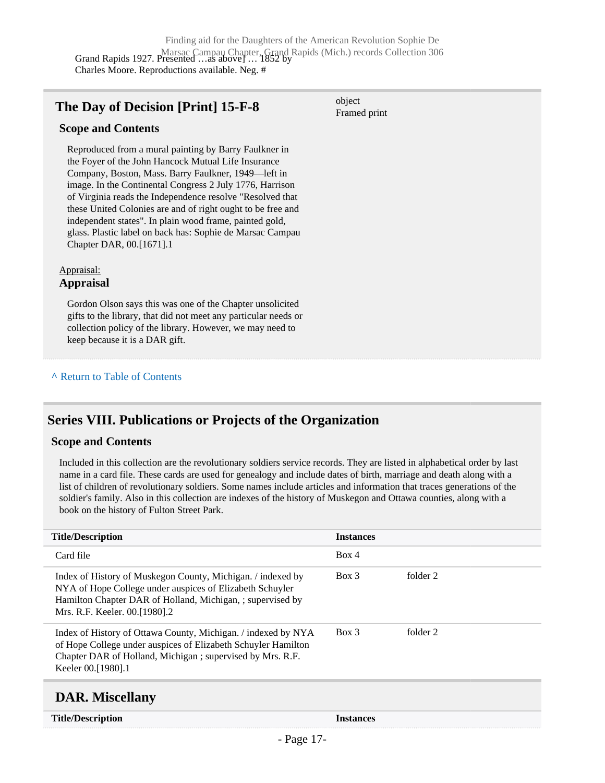#### <span id="page-16-0"></span>**The Day of Decision [Print] 15-F-8**

object Framed print

#### **Scope and Contents**

Reproduced from a mural painting by Barry Faulkner in the Foyer of the John Hancock Mutual Life Insurance Company, Boston, Mass. Barry Faulkner, 1949—left in image. In the Continental Congress 2 July 1776, Harrison of Virginia reads the Independence resolve "Resolved that these United Colonies are and of right ought to be free and independent states". In plain wood frame, painted gold, glass. Plastic label on back has: Sophie de Marsac Campau Chapter DAR, 00.[1671].1

#### Appraisal:

#### **Appraisal**

Gordon Olson says this was one of the Chapter unsolicited gifts to the library, that did not meet any particular needs or collection policy of the library. However, we may need to keep because it is a DAR gift.

#### **^** [Return to Table of Contents](#page-1-0)

### <span id="page-16-1"></span>**Series VIII. Publications or Projects of the Organization**

#### **Scope and Contents**

Included in this collection are the revolutionary soldiers service records. They are listed in alphabetical order by last name in a card file. These cards are used for genealogy and include dates of birth, marriage and death along with a list of children of revolutionary soldiers. Some names include articles and information that traces generations of the soldier's family. Also in this collection are indexes of the history of Muskegon and Ottawa counties, along with a book on the history of Fulton Street Park.

| <b>Title/Description</b>                                                                                                                                                                                               | <b>Instances</b> |          |
|------------------------------------------------------------------------------------------------------------------------------------------------------------------------------------------------------------------------|------------------|----------|
| Card file                                                                                                                                                                                                              | Box 4            |          |
| Index of History of Muskegon County, Michigan. / indexed by<br>NYA of Hope College under auspices of Elizabeth Schuyler<br>Hamilton Chapter DAR of Holland, Michigan, ; supervised by<br>Mrs. R.F. Keeler. 00.[1980].2 | $Box$ 3          | folder 2 |
| Index of History of Ottawa County, Michigan. / indexed by NYA<br>of Hope College under auspices of Elizabeth Schuyler Hamilton<br>Chapter DAR of Holland, Michigan; supervised by Mrs. R.F.<br>Keeler 00.[1980].1      | Box 3            | folder 2 |
|                                                                                                                                                                                                                        |                  |          |

### <span id="page-16-2"></span>**DAR. Miscellany**

| <b>Title/Description</b> |  |
|--------------------------|--|
|--------------------------|--|

**Instances**